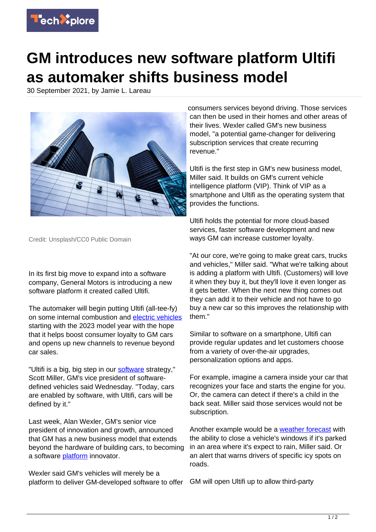

## **GM introduces new software platform Ultifi as automaker shifts business model**

30 September 2021, by Jamie L. Lareau



Credit: Unsplash/CC0 Public Domain

In its first big move to expand into a software company, General Motors is introducing a new software platform it created called Ultifi.

The automaker will begin putting Ultifi (all-tee-fy) on some internal combustion and [electric vehicles](https://techxplore.com/tags/electric+vehicles/) starting with the 2023 model year with the hope that it helps boost consumer loyalty to GM cars and opens up new channels to revenue beyond car sales.

"Ultifi is a big, big step in our [software](https://techxplore.com/tags/software/) strategy," Scott Miller, GM's vice president of softwaredefined vehicles said Wednesday. "Today, cars are enabled by software, with Ultifi, cars will be defined by it."

Last week, Alan Wexler, GM's senior vice president of innovation and growth, announced that GM has a new business model that extends beyond the hardware of building cars, to becoming a software [platform](https://techxplore.com/tags/platform/) innovator.

Wexler said GM's vehicles will merely be a platform to deliver GM-developed software to offer GM will open Ultifi up to allow third-party

consumers services beyond driving. Those services can then be used in their homes and other areas of their lives. Wexler called GM's new business model, "a potential game-changer for delivering subscription services that create recurring revenue."

Ultifi is the first step in GM's new business model, Miller said. It builds on GM's current vehicle intelligence platform (VIP). Think of VIP as a smartphone and Ultifi as the operating system that provides the functions.

Ultifi holds the potential for more cloud-based services, faster software development and new ways GM can increase customer loyalty.

"At our core, we're going to make great cars, trucks and vehicles," Miller said. "What we're talking about is adding a platform with Ultifi. (Customers) will love it when they buy it, but they'll love it even longer as it gets better. When the next new thing comes out they can add it to their vehicle and not have to go buy a new car so this improves the relationship with them."

Similar to software on a smartphone, Ultifi can provide regular updates and let customers choose from a variety of over-the-air upgrades, personalization options and apps.

For example, imagine a camera inside your car that recognizes your face and starts the engine for you. Or, the camera can detect if there's a child in the back seat. Miller said those services would not be subscription.

Another example would be a [weather forecast](https://techxplore.com/tags/weather+forecast/) with the ability to close a vehicle's windows if it's parked in an area where it's expect to rain, Miller said. Or an alert that warns drivers of specific icy spots on roads.